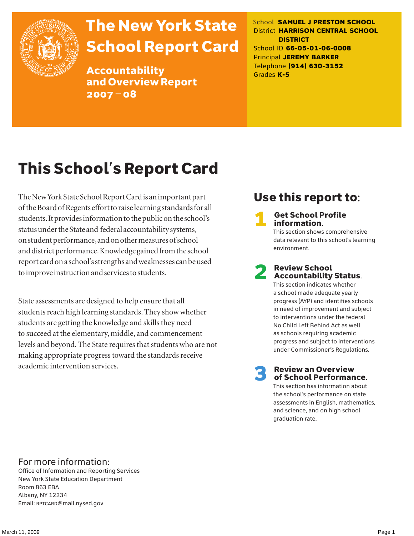

# The New York State School Report Card

Accountability and Overview Report 2007–08

School **SAMUEL J PRESTON SCHOOL** District **HARRISON CENTRAL SCHOOL DISTRICT** School ID **66-05-01-06-0008** Principal **JEREMY BARKER** Telephone **(914) 630-3152** Grades **K-5**

# This School's Report Card

The New York State School Report Card is an important part of the Board of Regents effort to raise learning standards for all students. It provides information to the public on the school's status under the State and federal accountability systems, on student performance, and on other measures of school and district performance. Knowledge gained from the school report card on a school's strengths and weaknesses can be used to improve instruction and services to students.

State assessments are designed to help ensure that all students reach high learning standards. They show whether students are getting the knowledge and skills they need to succeed at the elementary, middle, and commencement levels and beyond. The State requires that students who are not making appropriate progress toward the standards receive academic intervention services.

## Use this report to:

**Get School Profile** information.

This section shows comprehensive data relevant to this school's learning environment.

# 2 Review School Accountability Status.

This section indicates whether a school made adequate yearly progress (AYP) and identifies schools in need of improvement and subject to interventions under the federal No Child Left Behind Act as well as schools requiring academic progress and subject to interventions under Commissioner's Regulations.

**Review an Overview** of School Performance.

This section has information about the school's performance on state assessments in English, mathematics, and science, and on high school graduation rate.

### For more information:

Office of Information and Reporting Services New York State Education Department Room 863 EBA Albany, NY 12234 Email: RPTCARD@mail.nysed.gov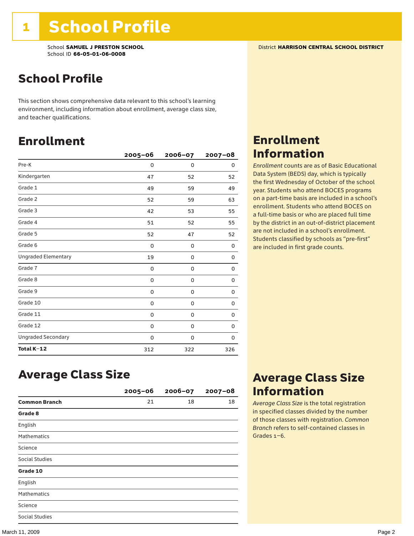## School Profile

This section shows comprehensive data relevant to this school's learning environment, including information about enrollment, average class size, and teacher qualifications.

### Enrollment

|                            | $2005 - 06$ | 2006-07     | $2007 - 08$ |
|----------------------------|-------------|-------------|-------------|
| Pre-K                      | 0           | $\mathbf 0$ | 0           |
| Kindergarten               | 47          | 52          | 52          |
| Grade 1                    | 49          | 59          | 49          |
| Grade 2                    | 52          | 59          | 63          |
| Grade 3                    | 42          | 53          | 55          |
| Grade 4                    | 51          | 52          | 55          |
| Grade 5                    | 52          | 47          | 52          |
| Grade 6                    | 0           | 0           | 0           |
| <b>Ungraded Elementary</b> | 19          | 0           | 0           |
| Grade 7                    | 0           | $\mathbf 0$ | 0           |
| Grade 8                    | 0           | 0           | 0           |
| Grade 9                    | 0           | 0           | 0           |
| Grade 10                   | 0           | 0           | 0           |
| Grade 11                   | 0           | 0           | 0           |
| Grade 12                   | 0           | 0           | 0           |
| <b>Ungraded Secondary</b>  | 0           | 0           | 0           |
| Total K-12                 | 312         | 322         | 326         |

## Enrollment Information

*Enrollment* counts are as of Basic Educational Data System (BEDS) day, which is typically the first Wednesday of October of the school year. Students who attend BOCES programs on a part-time basis are included in a school's enrollment. Students who attend BOCES on a full-time basis or who are placed full time by the district in an out-of-district placement are not included in a school's enrollment. Students classified by schools as "pre-first" are included in first grade counts.

### Average Class Size

|                       | $2005 - 06$ | $2006 - 07$ | $2007 - 08$ |
|-----------------------|-------------|-------------|-------------|
| <b>Common Branch</b>  | 21          | 18          | 18          |
| Grade 8               |             |             |             |
| English               |             |             |             |
| <b>Mathematics</b>    |             |             |             |
| Science               |             |             |             |
| <b>Social Studies</b> |             |             |             |
| Grade 10              |             |             |             |
| English               |             |             |             |
| <b>Mathematics</b>    |             |             |             |
| Science               |             |             |             |
| <b>Social Studies</b> |             |             |             |

### Average Class Size Information

*Average Class Size* is the total registration in specified classes divided by the number of those classes with registration. *Common Branch* refers to self-contained classes in Grades 1–6.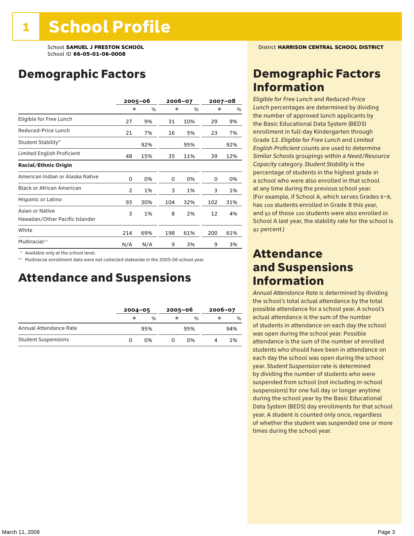## Demographic Factors

|                                                    |                | $2005 - 06$ |     | 2006-07 |     | 2007-08 |
|----------------------------------------------------|----------------|-------------|-----|---------|-----|---------|
|                                                    | #              | %           | #   | %       | #   | %       |
| Eligible for Free Lunch                            | 27             | 9%          | 31  | 10%     | 29  | 9%      |
| Reduced-Price Lunch                                | 21             | 7%          | 16  | 5%      | 23  | 7%      |
| Student Stability*                                 |                | 92%         |     | 95%     |     | 92%     |
| Limited English Proficient                         | 48             | 15%         | 35  | 11%     | 39  | 12%     |
| <b>Racial/Ethnic Origin</b>                        |                |             |     |         |     |         |
| American Indian or Alaska Native                   | 0              | 0%          | 0   | 0%      | 0   | 0%      |
| <b>Black or African American</b>                   | $\overline{2}$ | 1%          | 3   | 1%      | 3   | 1%      |
| Hispanic or Latino                                 | 93             | 30%         | 104 | 32%     | 102 | 31%     |
| Asian or Native<br>Hawaiian/Other Pacific Islander | 3              | 1%          | 8   | 2%      | 12  | 4%      |
| White                                              | 214            | 69%         | 198 | 61%     | 200 | 61%     |
| Multiracial**                                      | N/A            | N/A         | 9   | 3%      | 9   | 3%      |

\* Available only at the school level.

\*\* Multiracial enrollment data were not collected statewide in the 2005-06 school year.

### Attendance and Suspensions

|                            |   | $2004 - 05$   |   | $2005 - 06$   |   | $2006 - 07$ |  |
|----------------------------|---|---------------|---|---------------|---|-------------|--|
|                            | # | $\frac{0}{0}$ | # | $\frac{0}{6}$ | # | %           |  |
| Annual Attendance Rate     |   | 95%           |   | 95%           |   | 94%         |  |
| <b>Student Suspensions</b> | O | በ%            |   | በ%            |   | 1%          |  |

### Demographic Factors Information

*Eligible for Free Lunch* and *Reduced*-*Price Lunch* percentages are determined by dividing the number of approved lunch applicants by the Basic Educational Data System (BEDS) enrollment in full-day Kindergarten through Grade 12. *Eligible for Free Lunch* and *Limited English Proficient* counts are used to determine *Similar Schools* groupings within a *Need*/*Resource Capacity* category. *Student Stability* is the percentage of students in the highest grade in a school who were also enrolled in that school at any time during the previous school year. (For example, if School A, which serves Grades 6–8, has 100 students enrolled in Grade 8 this year, and 92 of those 100 students were also enrolled in School A last year, the stability rate for the school is 92 percent.)

### Attendance and Suspensions Information

*Annual Attendance Rate* is determined by dividing the school's total actual attendance by the total possible attendance for a school year. A school's actual attendance is the sum of the number of students in attendance on each day the school was open during the school year. Possible attendance is the sum of the number of enrolled students who should have been in attendance on each day the school was open during the school year. *Student Suspension* rate is determined by dividing the number of students who were suspended from school (not including in-school suspensions) for one full day or longer anytime during the school year by the Basic Educational Data System (BEDS) day enrollments for that school year. A student is counted only once, regardless of whether the student was suspended one or more times during the school year.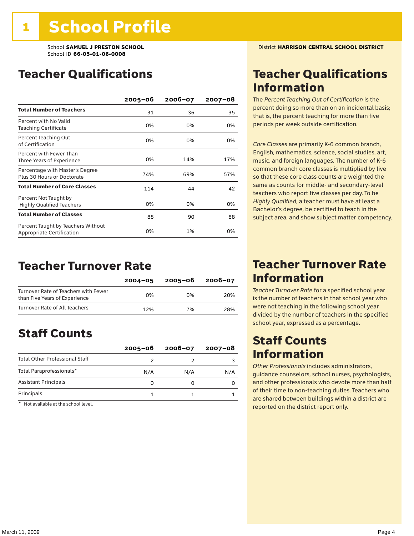### Teacher Qualifications

|                                                                 | $2005 - 06$ | $2006 - 07$ | $2007 - 08$ |
|-----------------------------------------------------------------|-------------|-------------|-------------|
| <b>Total Number of Teachers</b>                                 | 31          | 36          | 35          |
| Percent with No Valid<br>Teaching Certificate                   | 0%          | 0%          | 0%          |
| Percent Teaching Out<br>of Certification                        | 0%          | 0%          | 0%          |
| Percent with Fewer Than<br>Three Years of Experience            | 0%          | 14%         | 17%         |
| Percentage with Master's Degree<br>Plus 30 Hours or Doctorate   | 74%         | 69%         | 57%         |
| <b>Total Number of Core Classes</b>                             | 114         | 44          | 42          |
| Percent Not Taught by<br><b>Highly Qualified Teachers</b>       | 0%          | 0%          | 0%          |
| <b>Total Number of Classes</b>                                  | 88          | 90          | 88          |
| Percent Taught by Teachers Without<br>Appropriate Certification | 0%          | 1%          | 0%          |

### Teacher Turnover Rate

|                                                                       | $2004 - 05$ | 2005-06 | 2006-07 |
|-----------------------------------------------------------------------|-------------|---------|---------|
| Turnover Rate of Teachers with Fewer<br>than Five Years of Experience | በ%          | በ%      | 20%     |
| Turnover Rate of All Teachers                                         | 12%         | 7%      | 28%     |

## Staff Counts

|                                       | $2005 - 06$ | $2006 - 07$ | 2007-08 |
|---------------------------------------|-------------|-------------|---------|
| <b>Total Other Professional Staff</b> |             |             |         |
| Total Paraprofessionals*              | N/A         | N/A         | N/A     |
| <b>Assistant Principals</b>           |             |             |         |
| Principals                            |             |             |         |

\* Not available at the school level.

### Teacher Qualifications Information

The *Percent Teaching Out of Certification* is the percent doing so more than on an incidental basis; that is, the percent teaching for more than five periods per week outside certification.

*Core Classes* are primarily K-6 common branch, English, mathematics, science, social studies, art, music, and foreign languages. The number of K-6 common branch core classes is multiplied by five so that these core class counts are weighted the same as counts for middle- and secondary-level teachers who report five classes per day. To be *Highly Qualified*, a teacher must have at least a Bachelor's degree, be certified to teach in the subject area, and show subject matter competency.

### Teacher Turnover Rate Information

*Teacher Turnover Rate* for a specified school year is the number of teachers in that school year who were not teaching in the following school year divided by the number of teachers in the specified school year, expressed as a percentage.

### Staff Counts Information

*Other Professionals* includes administrators, guidance counselors, school nurses, psychologists, and other professionals who devote more than half of their time to non-teaching duties. Teachers who are shared between buildings within a district are reported on the district report only.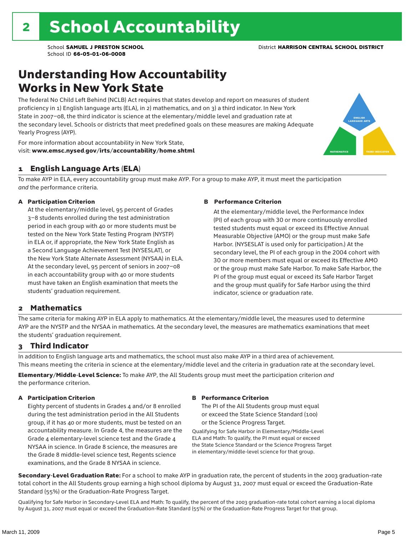### Understanding How Accountability Works in New York State

The federal No Child Left Behind (NCLB) Act requires that states develop and report on measures of student proficiency in 1) English language arts (ELA), in 2) mathematics, and on 3) a third indicator. In New York State in 2007–08, the third indicator is science at the elementary/middle level and graduation rate at the secondary level. Schools or districts that meet predefined goals on these measures are making Adequate Yearly Progress (AYP).



For more information about accountability in New York State, visit: www.emsc.nysed.gov/irts/accountability/home.shtml

#### 1 English Language Arts (ELA)

To make AYP in ELA, every accountability group must make AYP. For a group to make AYP, it must meet the participation *and* the performance criteria.

#### A Participation Criterion

At the elementary/middle level, 95 percent of Grades 3–8 students enrolled during the test administration period in each group with 40 or more students must be tested on the New York State Testing Program (NYSTP) in ELA or, if appropriate, the New York State English as a Second Language Achievement Test (NYSESLAT), or the New York State Alternate Assessment (NYSAA) in ELA. At the secondary level, 95 percent of seniors in 2007–08 in each accountability group with 40 or more students must have taken an English examination that meets the students' graduation requirement.

#### B Performance Criterion

At the elementary/middle level, the Performance Index (PI) of each group with 30 or more continuously enrolled tested students must equal or exceed its Effective Annual Measurable Objective (AMO) or the group must make Safe Harbor. (NYSESLAT is used only for participation.) At the secondary level, the PI of each group in the 2004 cohort with 30 or more members must equal or exceed its Effective AMO or the group must make Safe Harbor. To make Safe Harbor, the PI of the group must equal or exceed its Safe Harbor Target and the group must qualify for Safe Harbor using the third indicator, science or graduation rate.

#### 2 Mathematics

The same criteria for making AYP in ELA apply to mathematics. At the elementary/middle level, the measures used to determine AYP are the NYSTP and the NYSAA in mathematics. At the secondary level, the measures are mathematics examinations that meet the students' graduation requirement.

#### 3 Third Indicator

In addition to English language arts and mathematics, the school must also make AYP in a third area of achievement. This means meeting the criteria in science at the elementary/middle level and the criteria in graduation rate at the secondary level.

Elementary/Middle-Level Science: To make AYP, the All Students group must meet the participation criterion *and* the performance criterion.

#### A Participation Criterion

Eighty percent of students in Grades 4 and/or 8 enrolled during the test administration period in the All Students group, if it has 40 or more students, must be tested on an accountability measure. In Grade 4, the measures are the Grade 4 elementary-level science test and the Grade 4 NYSAA in science. In Grade 8 science, the measures are the Grade 8 middle-level science test, Regents science examinations, and the Grade 8 NYSAA in science.

#### B Performance Criterion

The PI of the All Students group must equal or exceed the State Science Standard (100) or the Science Progress Target.

Qualifying for Safe Harbor in Elementary/Middle-Level ELA and Math: To qualify, the PI must equal or exceed the State Science Standard or the Science Progress Target in elementary/middle-level science for that group.

Secondary-Level Graduation Rate: For a school to make AYP in graduation rate, the percent of students in the 2003 graduation-rate total cohort in the All Students group earning a high school diploma by August 31, 2007 must equal or exceed the Graduation-Rate Standard (55%) or the Graduation-Rate Progress Target.

Qualifying for Safe Harbor in Secondary-Level ELA and Math: To qualify, the percent of the 2003 graduation-rate total cohort earning a local diploma by August 31, 2007 must equal or exceed the Graduation-Rate Standard (55%) or the Graduation-Rate Progress Target for that group.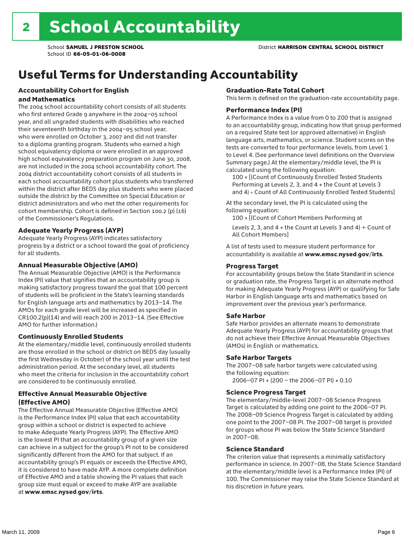# Useful Terms for Understanding Accountability

#### Accountability Cohort for English and Mathematics

The 2004 school accountability cohort consists of all students who first entered Grade 9 anywhere in the 2004–05 school year, and all ungraded students with disabilities who reached their seventeenth birthday in the 2004–05 school year, who were enrolled on October 3, 2007 and did not transfer to a diploma granting program. Students who earned a high school equivalency diploma or were enrolled in an approved high school equivalency preparation program on June 30, 2008, are not included in the 2004 school accountability cohort. The 2004 district accountability cohort consists of all students in each school accountability cohort plus students who transferred within the district after BEDS day plus students who were placed outside the district by the Committee on Special Education or district administrators and who met the other requirements for cohort membership. Cohort is defined in Section 100.2 (p) (16) of the Commissioner's Regulations.

#### Adequate Yearly Progress (AYP)

Adequate Yearly Progress (AYP) indicates satisfactory progress by a district or a school toward the goal of proficiency for all students.

#### Annual Measurable Objective (AMO)

The Annual Measurable Objective (AMO) is the Performance Index (PI) value that signifies that an accountability group is making satisfactory progress toward the goal that 100 percent of students will be proficient in the State's learning standards for English language arts and mathematics by 2013–14. The AMOs for each grade level will be increased as specified in CR100.2(p)(14) and will reach 200 in 2013–14. (See Effective AMO for further information.)

#### Continuously Enrolled Students

At the elementary/middle level, continuously enrolled students are those enrolled in the school or district on BEDS day (usually the first Wednesday in October) of the school year until the test administration period. At the secondary level, all students who meet the criteria for inclusion in the accountability cohort are considered to be continuously enrolled.

#### Effective Annual Measurable Objective (Effective AMO)

The Effective Annual Measurable Objective (Effective AMO) is the Performance Index (PI) value that each accountability group within a school or district is expected to achieve to make Adequate Yearly Progress (AYP). The Effective AMO is the lowest PI that an accountability group of a given size can achieve in a subject for the group's PI not to be considered significantly different from the AMO for that subject. If an accountability group's PI equals or exceeds the Effective AMO, it is considered to have made AYP. A more complete definition of Effective AMO and a table showing the PI values that each group size must equal or exceed to make AYP are available at www.emsc.nysed.gov/irts.

#### Graduation-Rate Total Cohort

This term is defined on the graduation-rate accountability page.

#### Performance Index (PI)

A Performance Index is a value from 0 to 200 that is assigned to an accountability group, indicating how that group performed on a required State test (or approved alternative) in English language arts, mathematics, or science. Student scores on the tests are converted to four performance levels, from Level 1 to Level 4. (See performance level definitions on the Overview Summary page.) At the elementary/middle level, the PI is calculated using the following equation:

100 × [(Count of Continuously Enrolled Tested Students Performing at Levels 2, 3, and 4 + the Count at Levels 3 and 4) ÷ Count of All Continuously Enrolled Tested Students]

At the secondary level, the PI is calculated using the following equation:

100 × [(Count of Cohort Members Performing at

Levels 2, 3, and 4 + the Count at Levels 3 and 4)  $\div$  Count of All Cohort Members]

A list of tests used to measure student performance for accountability is available at www.emsc.nysed.gov/irts.

#### Progress Target

For accountability groups below the State Standard in science or graduation rate, the Progress Target is an alternate method for making Adequate Yearly Progress (AYP) or qualifying for Safe Harbor in English language arts and mathematics based on improvement over the previous year's performance.

#### Safe Harbor

Safe Harbor provides an alternate means to demonstrate Adequate Yearly Progress (AYP) for accountability groups that do not achieve their Effective Annual Measurable Objectives (AMOs) in English or mathematics.

#### Safe Harbor Targets

The 2007–08 safe harbor targets were calculated using the following equation:

2006–07 PI + (200 – the 2006–07 PI) × 0.10

#### Science Progress Target

The elementary/middle-level 2007–08 Science Progress Target is calculated by adding one point to the 2006–07 PI. The 2008–09 Science Progress Target is calculated by adding one point to the 2007–08 PI. The 2007–08 target is provided for groups whose PI was below the State Science Standard in 2007–08.

#### Science Standard

The criterion value that represents a minimally satisfactory performance in science. In 2007–08, the State Science Standard at the elementary/middle level is a Performance Index (PI) of 100. The Commissioner may raise the State Science Standard at his discretion in future years.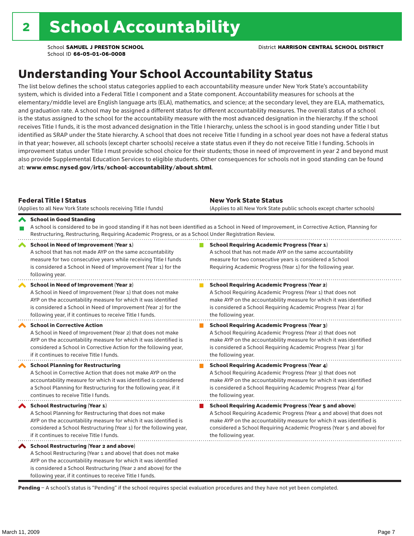## Understanding Your School Accountability Status

The list below defines the school status categories applied to each accountability measure under New York State's accountability system, which is divided into a Federal Title I component and a State component. Accountability measures for schools at the elementary/middle level are English language arts (ELA), mathematics, and science; at the secondary level, they are ELA, mathematics, and graduation rate. A school may be assigned a different status for different accountability measures. The overall status of a school is the status assigned to the school for the accountability measure with the most advanced designation in the hierarchy. If the school receives Title I funds, it is the most advanced designation in the Title I hierarchy, unless the school is in good standing under Title I but identified as SRAP under the State hierarchy. A school that does not receive Title I funding in a school year does not have a federal status in that year; however, all schools (except charter schools) receive a state status even if they do not receive Title I funding. Schools in improvement status under Title I must provide school choice for their students; those in need of improvement in year 2 and beyond must also provide Supplemental Education Services to eligible students. Other consequences for schools not in good standing can be found at: www.emsc.nysed.gov/irts/school-accountability/about.shtml.

| <b>Federal Title I Status</b><br>(Applies to all New York State schools receiving Title I funds)                                                                                                                                                                                                                | <b>New York State Status</b><br>(Applies to all New York State public schools except charter schools) |                                                                                                                                                                                                                                                                                                                 |  |  |  |
|-----------------------------------------------------------------------------------------------------------------------------------------------------------------------------------------------------------------------------------------------------------------------------------------------------------------|-------------------------------------------------------------------------------------------------------|-----------------------------------------------------------------------------------------------------------------------------------------------------------------------------------------------------------------------------------------------------------------------------------------------------------------|--|--|--|
| School in Good Standing<br>Restructuring, Restructuring, Requiring Academic Progress, or as a School Under Registration Review.                                                                                                                                                                                 |                                                                                                       | A school is considered to be in good standing if it has not been identified as a School in Need of Improvement, in Corrective Action, Planning for                                                                                                                                                              |  |  |  |
| School in Need of Improvement (Year 1)<br>A school that has not made AYP on the same accountability<br>measure for two consecutive years while receiving Title I funds<br>is considered a School in Need of Improvement (Year 1) for the<br>following year.                                                     |                                                                                                       | <b>School Requiring Academic Progress (Year 1)</b><br>A school that has not made AYP on the same accountability<br>measure for two consecutive years is considered a School<br>Requiring Academic Progress (Year 1) for the following year.                                                                     |  |  |  |
| <b>School in Need of Improvement (Year 2)</b><br>A School in Need of Improvement (Year 1) that does not make<br>AYP on the accountability measure for which it was identified<br>is considered a School in Need of Improvement (Year 2) for the<br>following year, if it continues to receive Title I funds.    |                                                                                                       | <b>School Requiring Academic Progress (Year 2)</b><br>A School Requiring Academic Progress (Year 1) that does not<br>make AYP on the accountability measure for which it was identified<br>is considered a School Requiring Academic Progress (Year 2) for<br>the following year.                               |  |  |  |
| <b>School in Corrective Action</b><br>A School in Need of Improvement (Year 2) that does not make<br>AYP on the accountability measure for which it was identified is<br>considered a School in Corrective Action for the following year,<br>if it continues to receive Title I funds.                          |                                                                                                       | <b>School Requiring Academic Progress (Year 3)</b><br>A School Requiring Academic Progress (Year 2) that does not<br>make AYP on the accountability measure for which it was identified<br>is considered a School Requiring Academic Progress (Year 3) for<br>the following year.                               |  |  |  |
| <b>School Planning for Restructuring</b><br>A School in Corrective Action that does not make AYP on the<br>accountability measure for which it was identified is considered<br>a School Planning for Restructuring for the following year, if it<br>continues to receive Title I funds.                         |                                                                                                       | <b>School Requiring Academic Progress (Year 4)</b><br>A School Requiring Academic Progress (Year 3) that does not<br>make AYP on the accountability measure for which it was identified<br>is considered a School Requiring Academic Progress (Year 4) for<br>the following year.                               |  |  |  |
| School Restructuring (Year 1)<br>A School Planning for Restructuring that does not make<br>AYP on the accountability measure for which it was identified is<br>considered a School Restructuring (Year 1) for the following year,<br>if it continues to receive Title I funds.                                  |                                                                                                       | <b>School Requiring Academic Progress (Year 5 and above)</b><br>A School Requiring Academic Progress (Year 4 and above) that does not<br>make AYP on the accountability measure for which it was identified is<br>considered a School Requiring Academic Progress (Year 5 and above) for<br>the following year. |  |  |  |
| <b>School Restructuring (Year 2 and above)</b><br>A School Restructuring (Year 1 and above) that does not make<br>AYP on the accountability measure for which it was identified<br>is considered a School Restructuring (Year 2 and above) for the<br>following year, if it continues to receive Title I funds. |                                                                                                       |                                                                                                                                                                                                                                                                                                                 |  |  |  |

Pending - A school's status is "Pending" if the school requires special evaluation procedures and they have not yet been completed.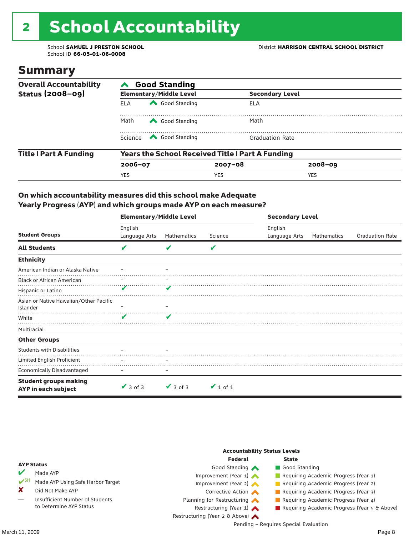# 2 School Accountability

School ID **66-05-01-06-0008**

### Summary

| <b>Overall Accountability</b> | <b>Good Standing</b>                                    |                                                                                                                                                                                                                                                                                                                                                 |                        |                        |  |  |  |
|-------------------------------|---------------------------------------------------------|-------------------------------------------------------------------------------------------------------------------------------------------------------------------------------------------------------------------------------------------------------------------------------------------------------------------------------------------------|------------------------|------------------------|--|--|--|
| <b>Status (2008-09)</b>       |                                                         | <b>Elementary/Middle Level</b>                                                                                                                                                                                                                                                                                                                  |                        | <b>Secondary Level</b> |  |  |  |
|                               | FI A                                                    | Good Standing                                                                                                                                                                                                                                                                                                                                   | ELA                    |                        |  |  |  |
|                               | Math                                                    | Good Standing                                                                                                                                                                                                                                                                                                                                   | Math                   |                        |  |  |  |
|                               |                                                         | Science <a> Science</a> Science Science Science <a> Science <a> Science <a> Science <a> Science <a> Science <a> Science <a> Science <a> Science <a> Science <a> Science <a<br></a<br> Science <a> Science <a> Science <a<br <="" td=""><td><b>Graduation Rate</b></td><td></td><td></td></a<br></a></a></a></a></a></a></a></a></a></a></a></a> | <b>Graduation Rate</b> |                        |  |  |  |
| <b>Title I Part A Funding</b> | <b>Years the School Received Title I Part A Funding</b> |                                                                                                                                                                                                                                                                                                                                                 |                        |                        |  |  |  |
|                               | $2006 - 07$                                             |                                                                                                                                                                                                                                                                                                                                                 | $2007 - 08$            | $2008 - 09$            |  |  |  |
|                               | <b>YES</b>                                              |                                                                                                                                                                                                                                                                                                                                                 | <b>YES</b>             | <b>YES</b>             |  |  |  |

#### On which accountability measures did this school make Adequate Yearly Progress (AYP) and which groups made AYP on each measure?

|                                                     | <b>Elementary/Middle Level</b> |               |               |               | <b>Secondary Level</b> |                        |  |  |
|-----------------------------------------------------|--------------------------------|---------------|---------------|---------------|------------------------|------------------------|--|--|
|                                                     | English                        |               |               | English       |                        |                        |  |  |
| <b>Student Groups</b>                               | Language Arts                  | Mathematics   | Science       | Language Arts | Mathematics            | <b>Graduation Rate</b> |  |  |
| <b>All Students</b>                                 | V                              | v             | V             |               |                        |                        |  |  |
| <b>Ethnicity</b>                                    |                                |               |               |               |                        |                        |  |  |
| American Indian or Alaska Native                    |                                |               |               |               |                        |                        |  |  |
| <b>Black or African American</b>                    |                                |               |               |               |                        |                        |  |  |
| Hispanic or Latino                                  | V                              |               |               |               |                        |                        |  |  |
| Asian or Native Hawaiian/Other Pacific              |                                |               |               |               |                        |                        |  |  |
| Islander                                            |                                |               |               |               |                        |                        |  |  |
| White                                               | v                              | v             |               |               |                        |                        |  |  |
| Multiracial                                         |                                |               |               |               |                        |                        |  |  |
| <b>Other Groups</b>                                 |                                |               |               |               |                        |                        |  |  |
| <b>Students with Disabilities</b>                   |                                |               |               |               |                        |                        |  |  |
| Limited English Proficient                          |                                |               |               |               |                        |                        |  |  |
| <b>Economically Disadvantaged</b>                   |                                |               |               |               |                        |                        |  |  |
| <b>Student groups making</b><br>AYP in each subject | $\vee$ 3 of 3                  | $\vee$ 3 of 3 | $\vee$ 1 of 1 |               |                        |                        |  |  |

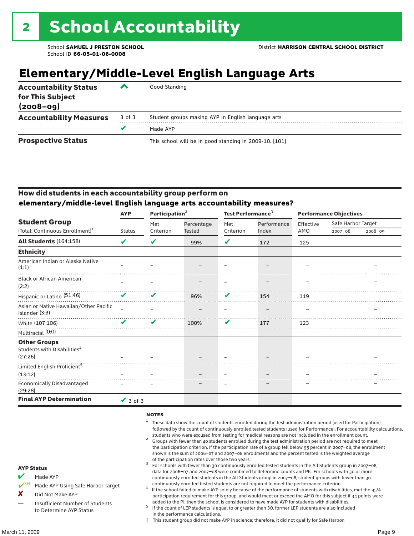# **Elementary/Middle-Level English Language Arts**

| <b>Accountability Status</b><br>for This Subject<br>$(2008 - 09)$ | ▰      | Good Standing                                          |
|-------------------------------------------------------------------|--------|--------------------------------------------------------|
| <b>Accountability Measures</b>                                    | 3 of 3 | Student groups making AYP in English language arts     |
|                                                                   |        | Made AYP                                               |
| <b>Prospective Status</b>                                         |        | This school will be in good standing in 2009-10. [101] |

#### How did students in each accountability group perform on **elementary/middle-level English language arts accountability measures?**

|                                                          | Participation <sup>2</sup><br><b>AYP</b> |           |               |           | Test Performance <sup>3</sup> |           | <b>Performance Objectives</b> |         |  |
|----------------------------------------------------------|------------------------------------------|-----------|---------------|-----------|-------------------------------|-----------|-------------------------------|---------|--|
| <b>Student Group</b>                                     |                                          | Met       | Percentage    | Met       | Performance                   | Effective | Safe Harbor Target            |         |  |
| (Total: Continuous Enrollment) <sup>1</sup>              | <b>Status</b>                            | Criterion | <b>Tested</b> | Criterion | Index                         | AMO       | $2007 - 08$                   | 2008-09 |  |
| <b>All Students (164:158)</b>                            | $\boldsymbol{\mathcal{U}}$               | V         | 99%           | V         | 172                           | 125       |                               |         |  |
| <b>Ethnicity</b>                                         |                                          |           |               |           |                               |           |                               |         |  |
| American Indian or Alaska Native<br>(1:1)                |                                          |           |               |           |                               |           |                               |         |  |
| <b>Black or African American</b><br>(2:2)                |                                          |           |               |           |                               |           |                               |         |  |
| Hispanic or Latino (51:46)                               | V                                        | ✔         | 96%           | V         | 154                           | 119       |                               |         |  |
| Asian or Native Hawaiian/Other Pacific<br>Islander (3:3) |                                          |           |               |           |                               |           |                               |         |  |
| White (107:106)                                          | V                                        | ✔         | 100%          | V         | 177                           | 123       |                               |         |  |
| Multiracial (0:0)                                        |                                          |           |               |           |                               |           |                               |         |  |
| <b>Other Groups</b>                                      |                                          |           |               |           |                               |           |                               |         |  |
| Students with Disabilities <sup>4</sup><br>(27:26)       |                                          |           |               |           |                               |           |                               |         |  |
| Limited English Proficient <sup>5</sup>                  |                                          |           |               |           |                               |           |                               |         |  |
| (13:12)                                                  |                                          |           |               |           |                               |           |                               |         |  |
| <b>Economically Disadvantaged</b><br>(29:28)             |                                          |           |               |           |                               |           |                               |         |  |
| <b>Final AYP Determination</b>                           | $\vee$ 3 of 3                            |           |               |           |                               |           |                               |         |  |

#### **NOTES**

- $1$  These data show the count of students enrolled during the test administration period (used for Participation) followed by the count of continuously enrolled tested students (used for Performance). For accountability calculations,
- students who were excused from testing for medical reasons are not included in the enrollment count. <sup>2</sup> Groups with fewer than 40 students enrolled during the test administration period are not required to meet the participation criterion. If the participation rate of a group fell below 95 percent in 2007–08, the enrollment shown is the sum of 2006–07 and 2007–08 enrollments and the percent tested is the weighted average
- of the participation rates over those two years.<br><sup>3</sup> For schools with fewer than 30 continuously enrolled tested students in the All Students group in 2007–08, data for 2006–07 and 2007–08 were combined to determine counts and PIs. For schools with 30 or more continuously enrolled students in the All Students group in 2007–08, student groups with fewer than 30
- continuously enrolled tested students are not required to meet the performance criterion. <sup>4</sup> If the school failed to make AYP solely because of the performance of students with disabilities, met the 95% participation requirement for this group, and would meet or exceed the AMO for this subject if 34 points were added to the PI, then the school is considered to have made AYP for students with disabilities.
- $5$  If the count of LEP students is equal to or greater than 30, former LEP students are also included in the performance calculations.
- ‡ This student group did not make AYP in science; therefore, it did not qualify for Safe Harbor.

AYP Status Made AYP

X Did Not Make AYP

Made AYP Using Safe Harbor Target

Insufficient Number of Students to Determine AYP Status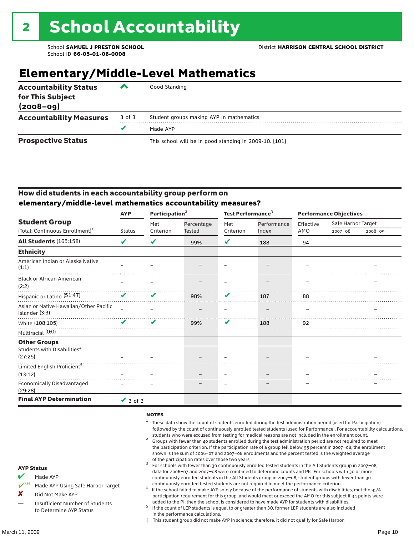## **Elementary/Middle-Level Mathematics**

| <b>Accountability Status</b><br>for This Subject<br>$(2008 - 09)$ | ‴      | Good Standing                                          |
|-------------------------------------------------------------------|--------|--------------------------------------------------------|
| <b>Accountability Measures</b>                                    | 3 of 3 | Student groups making AYP in mathematics               |
|                                                                   |        | Made AYP                                               |
| <b>Prospective Status</b>                                         |        | This school will be in good standing in 2009-10. [101] |

#### How did students in each accountability group perform on **elementary/middle-level mathematics accountability measures?**

|                                                          | <b>AYP</b>    | Participation <sup>2</sup> |               | Test Performance <sup>3</sup> |             | <b>Performance Objectives</b> |                    |             |
|----------------------------------------------------------|---------------|----------------------------|---------------|-------------------------------|-------------|-------------------------------|--------------------|-------------|
| <b>Student Group</b>                                     |               | Met                        | Percentage    | Met                           | Performance | Effective                     | Safe Harbor Target |             |
| (Total: Continuous Enrollment) <sup>1</sup>              | <b>Status</b> | Criterion                  | <b>Tested</b> | Criterion                     | Index       | AMO                           | $2007 - 08$        | $2008 - 09$ |
| <b>All Students (165:158)</b>                            | ✔             | V                          | 99%           | V                             | 188         | 94                            |                    |             |
| <b>Ethnicity</b>                                         |               |                            |               |                               |             |                               |                    |             |
| American Indian or Alaska Native<br>(1:1)                |               |                            |               |                               |             |                               |                    |             |
| <b>Black or African American</b><br>(2:2)                |               |                            |               |                               |             |                               |                    |             |
| Hispanic or Latino <sup>(51:47)</sup>                    | ✔             | ✔                          | 98%           | V                             | 187         | 88                            |                    |             |
| Asian or Native Hawaiian/Other Pacific<br>Islander (3:3) |               |                            |               |                               |             |                               |                    |             |
| White (108:105)                                          |               | ✔                          | 99%           | V                             | 188         | 92                            |                    |             |
| Multiracial (0:0)                                        |               |                            |               |                               |             |                               |                    |             |
| <b>Other Groups</b>                                      |               |                            |               |                               |             |                               |                    |             |
| Students with Disabilities <sup>4</sup><br>(27:25)       |               |                            |               |                               |             |                               |                    |             |
| Limited English Proficient <sup>5</sup>                  |               |                            |               |                               |             |                               |                    |             |
| (13:12)                                                  |               |                            |               |                               |             |                               |                    |             |
| <b>Economically Disadvantaged</b><br>(29:28)             |               |                            |               |                               |             |                               |                    |             |
| <b>Final AYP Determination</b>                           | $\vee$ 3 of 3 |                            |               |                               |             |                               |                    |             |

#### **NOTES**

- $1$  These data show the count of students enrolled during the test administration period (used for Participation) followed by the count of continuously enrolled tested students (used for Performance). For accountability calculations,
- students who were excused from testing for medical reasons are not included in the enrollment count.<br><sup>2</sup> Groups with fewer than 40 students enrolled during the test administration period are not required to meet the participation criterion. If the participation rate of a group fell below 95 percent in 2007–08, the enrollment shown is the sum of 2006–07 and 2007–08 enrollments and the percent tested is the weighted average
- of the participation rates over those two years.<br><sup>3</sup> For schools with fewer than 30 continuously enrolled tested students in the All Students group in 2007–08, data for 2006–07 and 2007–08 were combined to determine counts and PIs. For schools with 30 or more continuously enrolled students in the All Students group in 2007–08, student groups with fewer than 30
- continuously enrolled tested students are not required to meet the performance criterion. <sup>4</sup> If the school failed to make AYP solely because of the performance of students with disabilities, met the 95% participation requirement for this group, and would meet or exceed the AMO for this subject if 34 points were added to the PI, then the school is considered to have made AYP for students with disabilities.
- $5$  If the count of LEP students is equal to or greater than 30, former LEP students are also included in the performance calculations.
- ‡ This student group did not make AYP in science; therefore, it did not qualify for Safe Harbor.
- Made AYP
	- Made AYP Using Safe Harbor Target
- X Did Not Make AYP
- Insufficient Number of Students to Determine AYP Status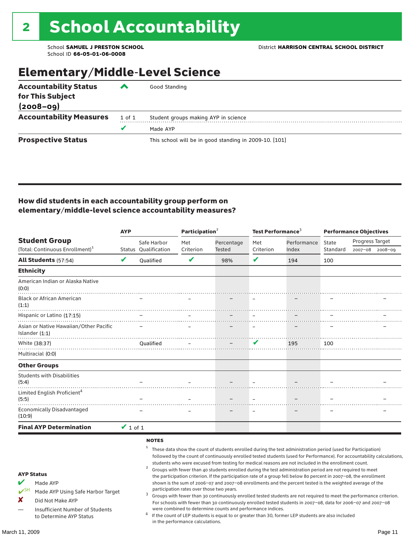# Elementary/Middle-Level Science

| <b>Accountability Status</b><br>for This Subject<br>$(2008 - 09)$ | $\overline{\phantom{a}}$ | Good Standing                                          |
|-------------------------------------------------------------------|--------------------------|--------------------------------------------------------|
| <b>Accountability Measures</b>                                    | 1 of 1                   | Student groups making AYP in science                   |
|                                                                   | v                        | Made AYP                                               |
| <b>Prospective Status</b>                                         |                          | This school will be in good standing in 2009-10. [101] |

#### How did students in each accountability group perform on elementary/middle-level science accountability measures?

|                                                                                                                                                          | <b>AYP</b>    |                          | Participation $2$                         |                                                            | Test Performance <sup>3</sup> |                                                                                                                                                                                                                                                                                                                                                                                                                                                                                                                                                                                                                                                                                                                                                                                                                                                                                                                                           | <b>Performance Objectives</b> |                 |                 |
|----------------------------------------------------------------------------------------------------------------------------------------------------------|---------------|--------------------------|-------------------------------------------|------------------------------------------------------------|-------------------------------|-------------------------------------------------------------------------------------------------------------------------------------------------------------------------------------------------------------------------------------------------------------------------------------------------------------------------------------------------------------------------------------------------------------------------------------------------------------------------------------------------------------------------------------------------------------------------------------------------------------------------------------------------------------------------------------------------------------------------------------------------------------------------------------------------------------------------------------------------------------------------------------------------------------------------------------------|-------------------------------|-----------------|-----------------|
| <b>Student Group</b>                                                                                                                                     |               | Safe Harbor              | Met                                       | Percentage                                                 | Met                           | Performance                                                                                                                                                                                                                                                                                                                                                                                                                                                                                                                                                                                                                                                                                                                                                                                                                                                                                                                               | State                         | Progress Target |                 |
| (Total: Continuous Enrollment) <sup>1</sup>                                                                                                              |               | Status Oualification     | Criterion                                 | Tested                                                     | Criterion                     | Index                                                                                                                                                                                                                                                                                                                                                                                                                                                                                                                                                                                                                                                                                                                                                                                                                                                                                                                                     | Standard                      |                 | 2007-08 2008-09 |
| <b>All Students</b> (57:54)                                                                                                                              | V             | Oualified                | V                                         | 98%                                                        | V                             | 194                                                                                                                                                                                                                                                                                                                                                                                                                                                                                                                                                                                                                                                                                                                                                                                                                                                                                                                                       | 100                           |                 |                 |
| <b>Ethnicity</b>                                                                                                                                         |               |                          |                                           |                                                            |                               |                                                                                                                                                                                                                                                                                                                                                                                                                                                                                                                                                                                                                                                                                                                                                                                                                                                                                                                                           |                               |                 |                 |
| American Indian or Alaska Native<br>(0:0)                                                                                                                |               |                          |                                           |                                                            |                               |                                                                                                                                                                                                                                                                                                                                                                                                                                                                                                                                                                                                                                                                                                                                                                                                                                                                                                                                           |                               |                 |                 |
| <b>Black or African American</b><br>(1:1)                                                                                                                |               |                          |                                           |                                                            |                               |                                                                                                                                                                                                                                                                                                                                                                                                                                                                                                                                                                                                                                                                                                                                                                                                                                                                                                                                           |                               |                 |                 |
| Hispanic or Latino (17:15)                                                                                                                               |               |                          |                                           |                                                            |                               |                                                                                                                                                                                                                                                                                                                                                                                                                                                                                                                                                                                                                                                                                                                                                                                                                                                                                                                                           |                               |                 |                 |
| Asian or Native Hawaiian/Other Pacific<br>Islander $(1:1)$                                                                                               |               |                          |                                           |                                                            |                               |                                                                                                                                                                                                                                                                                                                                                                                                                                                                                                                                                                                                                                                                                                                                                                                                                                                                                                                                           |                               |                 |                 |
| White (38:37)                                                                                                                                            |               | Oualified                |                                           |                                                            | V                             | 195                                                                                                                                                                                                                                                                                                                                                                                                                                                                                                                                                                                                                                                                                                                                                                                                                                                                                                                                       | 100                           |                 |                 |
| Multiracial (0:0)                                                                                                                                        |               |                          |                                           |                                                            |                               |                                                                                                                                                                                                                                                                                                                                                                                                                                                                                                                                                                                                                                                                                                                                                                                                                                                                                                                                           |                               |                 |                 |
| <b>Other Groups</b>                                                                                                                                      |               |                          |                                           |                                                            |                               |                                                                                                                                                                                                                                                                                                                                                                                                                                                                                                                                                                                                                                                                                                                                                                                                                                                                                                                                           |                               |                 |                 |
| <b>Students with Disabilities</b><br>(5:4)                                                                                                               |               |                          |                                           |                                                            |                               |                                                                                                                                                                                                                                                                                                                                                                                                                                                                                                                                                                                                                                                                                                                                                                                                                                                                                                                                           |                               |                 |                 |
| Limited English Proficient <sup>4</sup><br>(5:5)                                                                                                         |               |                          |                                           |                                                            |                               |                                                                                                                                                                                                                                                                                                                                                                                                                                                                                                                                                                                                                                                                                                                                                                                                                                                                                                                                           |                               |                 |                 |
| <b>Economically Disadvantaged</b><br>(10:9)                                                                                                              |               |                          |                                           |                                                            |                               |                                                                                                                                                                                                                                                                                                                                                                                                                                                                                                                                                                                                                                                                                                                                                                                                                                                                                                                                           |                               |                 |                 |
| <b>Final AYP Determination</b>                                                                                                                           | $\vee$ 1 of 1 |                          |                                           |                                                            |                               |                                                                                                                                                                                                                                                                                                                                                                                                                                                                                                                                                                                                                                                                                                                                                                                                                                                                                                                                           |                               |                 |                 |
|                                                                                                                                                          |               | <b>NOTES</b>             |                                           |                                                            |                               |                                                                                                                                                                                                                                                                                                                                                                                                                                                                                                                                                                                                                                                                                                                                                                                                                                                                                                                                           |                               |                 |                 |
| <b>AYP Status</b><br>Made AYP<br>$V^{\text{SH}}$<br>Made AYP Using Safe Harbor Target<br>x<br>Did Not Make AYP<br><b>Insufficient Number of Students</b> |               | 1<br>$\overline{a}$<br>3 | participation rates over those two years. | were combined to determine counts and performance indices. |                               | These data show the count of students enrolled during the test administration period (used for Participation)<br>followed by the count of continuously enrolled tested students (used for Performance). For accountability calculations,<br>students who were excused from testing for medical reasons are not included in the enrollment count.<br>Groups with fewer than 40 students enrolled during the test administration period are not required to meet<br>the participation criterion. If the participation rate of a group fell below 80 percent in 2007-08, the enrollment<br>shown is the sum of 2006-07 and 2007-08 enrollments and the percent tested is the weighted average of the<br>Groups with fewer than 30 continuously enrolled tested students are not required to meet the performance criterion.<br>For schools with fewer than 30 continuously enrolled tested students in 2007-08, data for 2006-07 and 2007-08 |                               |                 |                 |

 $^4$  If the count of LEP students is equal to or greater than 30, former LEP students are also included in the performance calculations.

to Determine AYP Status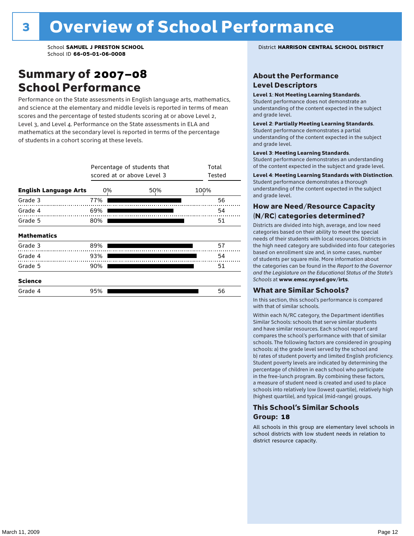### Summary of 2007–08 School Performance

Performance on the State assessments in English language arts, mathematics, and science at the elementary and middle levels is reported in terms of mean scores and the percentage of tested students scoring at or above Level 2, Level 3, and Level 4. Performance on the State assessments in ELA and mathematics at the secondary level is reported in terms of the percentage of students in a cohort scoring at these levels.

|                              |     | Percentage of students that<br>scored at or above Level 3 |      |  |  |  |  |
|------------------------------|-----|-----------------------------------------------------------|------|--|--|--|--|
| <b>English Language Arts</b> | 0%  | 50%                                                       | 100% |  |  |  |  |
| Grade 3                      | 77% |                                                           | 56   |  |  |  |  |
| Grade 4                      | 69% |                                                           | 54   |  |  |  |  |
| Grade 5                      | 80% |                                                           | 51   |  |  |  |  |
| <b>Mathematics</b>           |     |                                                           |      |  |  |  |  |
| Grade 3                      | 89% |                                                           | 57   |  |  |  |  |
| Grade 4                      | 93% |                                                           | 54   |  |  |  |  |
| Grade 5                      | 90% |                                                           | 51   |  |  |  |  |
| <b>Science</b>               |     |                                                           |      |  |  |  |  |
| Grade 4                      | 95% |                                                           | 56   |  |  |  |  |

School **SAMUEL J PRESTON SCHOOL** District **HARRISON CENTRAL SCHOOL DISTRICT**

#### About the Performance Level Descriptors

#### Level 1: Not Meeting Learning Standards.

Student performance does not demonstrate an understanding of the content expected in the subject and grade level.

#### Level 2: Partially Meeting Learning Standards.

Student performance demonstrates a partial understanding of the content expected in the subject and grade level.

#### Level 3: Meeting Learning Standards.

Student performance demonstrates an understanding of the content expected in the subject and grade level.

#### Level 4: Meeting Learning Standards with Distinction.

Student performance demonstrates a thorough understanding of the content expected in the subject and grade level.

#### How are Need/Resource Capacity (N/RC) categories determined?

Districts are divided into high, average, and low need categories based on their ability to meet the special needs of their students with local resources. Districts in the high need category are subdivided into four categories based on enrollment size and, in some cases, number of students per square mile. More information about the categories can be found in the *Report to the Governor and the Legislature on the Educational Status of the State's Schools* at www.emsc.nysed.gov/irts.

#### What are Similar Schools?

In this section, this school's performance is compared with that of similar schools.

Within each N/RC category, the Department identifies Similar Schools: schools that serve similar students and have similar resources. Each school report card compares the school's performance with that of similar schools. The following factors are considered in grouping schools: a) the grade level served by the school and b) rates of student poverty and limited English proficiency. Student poverty levels are indicated by determining the percentage of children in each school who participate in the free-lunch program. By combining these factors, a measure of student need is created and used to place schools into relatively low (lowest quartile), relatively high (highest quartile), and typical (mid-range) groups.

#### This School's Similar Schools Group: **18**

All schools in this group are elementary level schools in school districts with low student needs in relation to district resource capacity.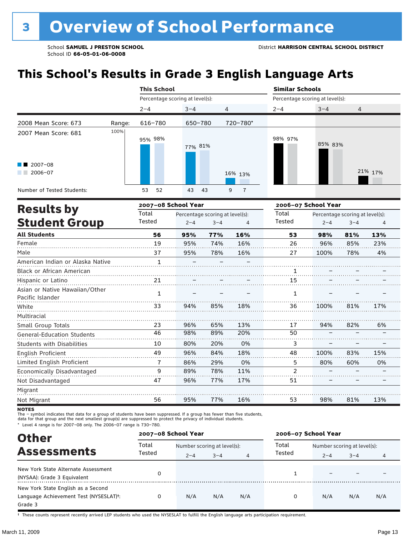# **This School's Results in Grade 3 English Language Arts**

|                                                           |        | <b>This School</b>              |            |                     | <b>Similar Schools</b>          |         |                |  |  |
|-----------------------------------------------------------|--------|---------------------------------|------------|---------------------|---------------------------------|---------|----------------|--|--|
|                                                           |        | Percentage scoring at level(s): |            |                     | Percentage scoring at level(s): |         |                |  |  |
|                                                           |        | $2 - 4$                         | $3 - 4$    | $\overline{4}$      | $2 - 4$                         | $3 - 4$ | $\overline{4}$ |  |  |
| 2008 Mean Score: 673                                      | Range: | 616-780                         | 650-780    | 720-780*            |                                 |         |                |  |  |
| 2007 Mean Score: 681<br>$\blacksquare$ 2007-08<br>2006-07 | 100%   | 95% 98%                         | 77% 81%    | 16% 13%             | 98% 97%                         | 85% 83% | 21% 17%        |  |  |
| Number of Tested Students:                                |        | 53<br>52                        | 43<br>- 43 | 9<br>$\overline{7}$ |                                 |         |                |  |  |

| <b>Results by</b>                                  |              | 2007-08 School Year |                                 |     | 2006-07 School Year |         |                                 |     |
|----------------------------------------------------|--------------|---------------------|---------------------------------|-----|---------------------|---------|---------------------------------|-----|
|                                                    | Total        |                     | Percentage scoring at level(s): |     | Total               |         | Percentage scoring at level(s): |     |
| <b>Student Group</b>                               | Tested       | $2 - 4$             | $3 - 4$                         | 4   | Tested              | $2 - 4$ | $3 - 4$                         | 4   |
| <b>All Students</b>                                | 56           | 95%                 | 77%                             | 16% | 53                  | 98%     | 81%                             | 13% |
| Female                                             | 19           | 95%                 | 74%                             | 16% | 26                  | 96%     | 85%                             | 23% |
| Male                                               | 37           | 95%                 | 78%                             | 16% | 27                  | 100%    | 78%                             | 4%  |
| American Indian or Alaska Native                   | $\mathbf{1}$ |                     |                                 |     |                     |         |                                 |     |
| <b>Black or African American</b>                   |              |                     |                                 |     |                     |         |                                 |     |
| Hispanic or Latino                                 | 21           |                     |                                 |     | 15                  |         |                                 |     |
| Asian or Native Hawaiian/Other<br>Pacific Islander | 1            |                     |                                 |     | 1                   |         |                                 |     |
| White                                              | 33           | 94%                 | 85%                             | 18% | 36                  | 100%    | 81%                             | 17% |
| Multiracial                                        |              |                     |                                 |     |                     |         |                                 |     |
| Small Group Totals                                 | 23           | 96%                 | 65%                             | 13% | 17                  | 94%     | 82%                             | 6%  |
| <b>General-Education Students</b>                  | 46           | 98%                 | 89%                             | 20% | 50                  |         |                                 |     |
| <b>Students with Disabilities</b>                  | 10           | 80%                 | 20%                             | 0%  | 3                   |         |                                 |     |
| English Proficient                                 | 49           | 96%                 | 84%                             | 18% | 48                  | 100%    | 83%                             | 15% |
| Limited English Proficient                         | 7            | 86%                 | 29%                             | 0%  | 5                   | 80%     | 60%                             | 0%  |
| Economically Disadvantaged                         | 9            | 89%                 | 78%                             | 11% | 2                   |         |                                 |     |
| Not Disadvantaged                                  | 47           | 96%                 | 77%                             | 17% | 51                  |         |                                 |     |
| Migrant                                            |              |                     |                                 |     |                     |         |                                 |     |
| Not Migrant                                        | 56           | 95%                 | 77%                             | 16% | 53                  | 98%     | 81%                             | 13% |

**NOTES** 

The – symbol indicates that data for a group of students have been suppressed. If a group has fewer than five students,<br>data for that group and the next smallest group(s) are suppressed to protect the privacy of individual

\* Level 4 range is for 2007–08 only. The 2006–07 range is 730–780.

| <b>Other</b>                                                                            |        | 2007-08 School Year         |         |                | 2006-07 School Year |                             |         |     |
|-----------------------------------------------------------------------------------------|--------|-----------------------------|---------|----------------|---------------------|-----------------------------|---------|-----|
| <b>Assessments</b>                                                                      | Total  | Number scoring at level(s): |         |                | Total               | Number scoring at level(s): |         |     |
|                                                                                         | Tested | $2 - 4$                     | $3 - 4$ | $\overline{4}$ | Tested              | $2 - 4$                     | $3 - 4$ | 4   |
| New York State Alternate Assessment<br>(NYSAA): Grade 3 Equivalent                      |        |                             |         |                |                     |                             |         |     |
| New York State English as a Second<br>Language Achievement Test (NYSESLAT)t:<br>Grade 3 |        | N/A                         | N/A     | N/A            |                     | N/A                         | N/A     | N/A |

† These counts represent recently arrived LEP students who used the NYSESLAT to fulfill the English language arts participation requirement.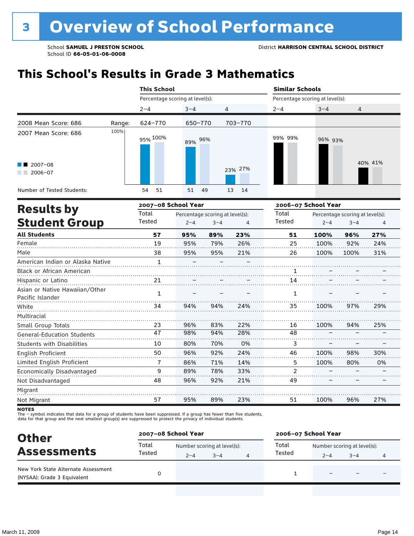# **This School's Results in Grade 3 Mathematics**

| 2008 Mean Score: 686<br>2007 Mean Score: 686<br>$\blacksquare$ 2007-08<br>2006-07 |        | <b>This School</b>              |          |          | <b>Similar Schools</b>          |         |         |  |  |
|-----------------------------------------------------------------------------------|--------|---------------------------------|----------|----------|---------------------------------|---------|---------|--|--|
|                                                                                   |        | Percentage scoring at level(s): |          |          | Percentage scoring at level(s): |         |         |  |  |
|                                                                                   |        | $2 - 4$                         | $3 - 4$  | 4        | $2 - 4$                         | $3 - 4$ | 4       |  |  |
|                                                                                   | Range: | 624-770                         | 650-770  | 703-770  |                                 |         |         |  |  |
|                                                                                   | 100%   | 95% 100%                        | 89% 96%  |          | 99% 99%                         | 96% 93% |         |  |  |
|                                                                                   |        |                                 |          | 23% 27%  |                                 |         | 40% 41% |  |  |
| Number of Tested Students:                                                        |        | 51<br>54                        | 51<br>49 | 13<br>14 |                                 |         |         |  |  |

| <b>Results by</b>                                  |        | 2007-08 School Year |                                 |     | 2006-07 School Year |         |                                 |     |
|----------------------------------------------------|--------|---------------------|---------------------------------|-----|---------------------|---------|---------------------------------|-----|
|                                                    | Total  |                     | Percentage scoring at level(s): |     | Total               |         | Percentage scoring at level(s): |     |
| <b>Student Group</b>                               | Tested | $2 - 4$             | $3 - 4$                         | 4   | Tested              | $2 - 4$ | $3 - 4$                         | 4   |
| <b>All Students</b>                                | 57     | 95%                 | 89%                             | 23% | 51                  | 100%    | 96%                             | 27% |
| Female                                             | 19     | 95%                 | 79%                             | 26% | 25                  | 100%    | 92%                             | 24% |
| Male                                               | 38     | 95%                 | 95%                             | 21% | 26                  | 100%    | 100%                            | 31% |
| American Indian or Alaska Native                   | 1      |                     |                                 |     |                     |         |                                 |     |
| <b>Black or African American</b>                   |        |                     |                                 |     |                     |         |                                 |     |
| Hispanic or Latino                                 | 21     |                     |                                 |     | 14                  |         |                                 |     |
| Asian or Native Hawaiian/Other<br>Pacific Islander | 1      |                     |                                 |     | 1                   |         |                                 |     |
| White                                              | 34     | 94%                 | 94%                             | 24% | 35                  | 100%    | 97%                             | 29% |
| Multiracial                                        |        |                     |                                 |     |                     |         |                                 |     |
| Small Group Totals                                 | 23     | 96%                 | 83%                             | 22% | 16                  | 100%    | 94%                             | 25% |
| <b>General-Education Students</b>                  | 47     | 98%                 | 94%                             | 28% | 48                  |         |                                 |     |
| <b>Students with Disabilities</b>                  | 10     | 80%                 | 70%                             | 0%  | 3                   |         |                                 |     |
| English Proficient                                 | 50     | 96%                 | 92%                             | 24% | 46                  | 100%    | 98%                             | 30% |
| Limited English Proficient                         | 7      | 86%                 | 71%                             | 14% | 5                   | 100%    | 80%                             | 0%  |
| Economically Disadvantaged                         | 9      | 89%                 | 78%                             | 33% | $\overline{2}$      |         |                                 |     |
| Not Disadvantaged                                  | 48     | 96%                 | 92%                             | 21% | 49                  |         |                                 |     |
| Migrant                                            |        |                     |                                 |     |                     |         |                                 |     |
| Not Migrant                                        | 57     | 95%                 | 89%                             | 23% | 51                  | 100%    | 96%                             | 27% |

**NOTES** 

The – symbol indicates that data for a group of students have been suppressed. If a group has fewer than five students,<br>data for that group and the next smallest group(s) are suppressed to protect the privacy of individual

| <b>Other</b><br><b>Assessments</b><br>New York State Alternate Assessment | 2007-08 School Year |                                        |         | 2006-07 School Year |                                        |                          |   |  |
|---------------------------------------------------------------------------|---------------------|----------------------------------------|---------|---------------------|----------------------------------------|--------------------------|---|--|
|                                                                           | Total<br>Tested     | Number scoring at level(s):<br>$2 - 4$ | $3 - 4$ | Total<br>Tested     | Number scoring at level(s):<br>$2 - 4$ | $3 - 4$                  | 4 |  |
| (NYSAA): Grade 3 Equivalent                                               |                     |                                        |         |                     | $\overline{\phantom{0}}$               | $\overline{\phantom{0}}$ |   |  |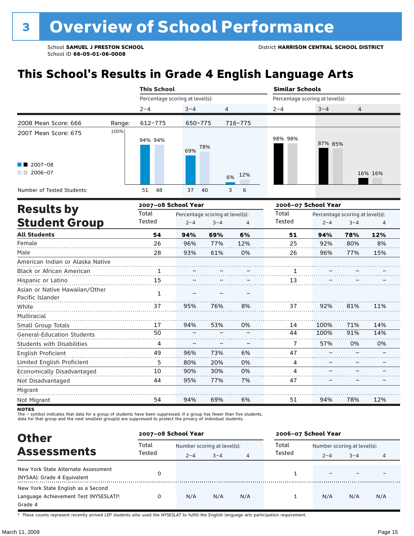# **This School's Results in Grade 4 English Language Arts**

|                                  | <b>This School</b> |                     |                                 |                                 |           | <b>Similar Schools</b> |                                 |         |         |  |  |
|----------------------------------|--------------------|---------------------|---------------------------------|---------------------------------|-----------|------------------------|---------------------------------|---------|---------|--|--|
|                                  |                    |                     | Percentage scoring at level(s): |                                 |           |                        | Percentage scoring at level(s): |         |         |  |  |
|                                  |                    | $2 - 4$             | $3 - 4$                         | 4                               |           | $2 - 4$                | $3 - 4$                         | 4       |         |  |  |
| 2008 Mean Score: 666             | Range:             | $612 - 775$         | 650-775                         |                                 | 716-775   |                        |                                 |         |         |  |  |
| 2007 Mean Score: 675             | 100%               | 94% 94%             | 69%                             | 78%                             |           | 98% 98%                | 87% 85%                         |         |         |  |  |
| $2007 - 08$<br>$2006 - 07$       |                    |                     |                                 |                                 | 12%<br>6% |                        |                                 |         | 16% 16% |  |  |
| Number of Tested Students:       |                    | 48<br>51            | 37                              | 40                              | 3<br>6    |                        |                                 |         |         |  |  |
|                                  |                    | 2007-08 School Year |                                 |                                 |           | 2006-07 School Year    |                                 |         |         |  |  |
| <b>Results by</b>                |                    | Total               |                                 | Percentage scoring at level(s): |           | Total                  | Percentage scoring at level(s): |         |         |  |  |
| <b>Student Group</b>             |                    | Tested              | $2 - 4$                         | $3 - 4$                         | 4         | Tested                 | $2 - 4$                         | $3 - 4$ | 4       |  |  |
| <b>All Students</b>              |                    | 54                  | 94%                             | 69%                             | 6%        | 51                     | 94%                             | 78%     | 12%     |  |  |
| Female                           |                    | 26                  | 96%                             | 77%                             | 12%       | 25                     | 92%                             | 80%     | 8%      |  |  |
| Male                             |                    | 28                  | 93%                             | 61%                             | 0%        | 26                     | 96%                             | 77%     | 15%     |  |  |
| American Indian or Alaska Native |                    |                     |                                 |                                 |           |                        |                                 |         |         |  |  |
|                                  |                    |                     |                                 |                                 |           |                        |                                 |         |         |  |  |

| <b>Black or African American</b>  |    |     |     |    |    |      |     |     |
|-----------------------------------|----|-----|-----|----|----|------|-----|-----|
| Hispanic or Latino                | 15 |     |     |    | 13 |      |     |     |
| Asian or Native Hawaiian/Other    |    |     |     |    |    |      |     |     |
| Pacific Islander                  |    |     |     |    |    |      |     |     |
| White                             | 37 | 95% | 76% | 8% | 37 | 92%  | 81% | 11% |
| Multiracial                       |    |     |     |    |    |      |     |     |
| Small Group Totals                | 17 | 94% | 53% | 0% | 14 | 100% | 71% | 14% |
| <b>General-Education Students</b> | 50 |     |     |    | 44 | 100% | 91% | 14% |
| <b>Students with Disabilities</b> | 4  |     |     |    |    | 57%  | 0%  | 0%  |
| English Proficient                | 49 | 96% | 73% | 6% | 47 |      |     |     |
| Limited English Proficient        | 5  | 80% | 20% | 0% | 4  |      |     |     |
| Economically Disadvantaged        | 10 | 90% | 30% | 0% | 4  |      |     |     |
| Not Disadvantaged                 | 44 | 95% | 77% | 7% | 47 |      |     |     |
| Migrant                           |    |     |     |    |    |      |     |     |
| Not Migrant                       | 54 | 94% | 69% | 6% | 51 | 94%  | 78% | 12% |

**NOTES** 

The – symbol indicates that data for a group of students have been suppressed. If a group has fewer than five students,<br>data for that group and the next smallest group(s) are suppressed to protect the privacy of individual

| <b>Other</b>                                                                                         | 2007-08 School Year |                             |         |     | 2006-07 School Year |                             |         |     |  |
|------------------------------------------------------------------------------------------------------|---------------------|-----------------------------|---------|-----|---------------------|-----------------------------|---------|-----|--|
|                                                                                                      | Total<br>Tested     | Number scoring at level(s): |         |     | Total               | Number scoring at level(s): |         |     |  |
| <b>Assessments</b>                                                                                   |                     | $2 - 4$                     | $3 - 4$ | 4   | Tested              | $2 - 4$                     | $3 - 4$ | 4   |  |
| New York State Alternate Assessment<br>(NYSAA): Grade 4 Equivalent                                   |                     |                             |         |     |                     |                             |         |     |  |
| New York State English as a Second<br>Language Achievement Test (NYSESLAT) <sup>t</sup> :<br>Grade 4 |                     | N/A                         | N/A     | N/A |                     | N/A                         | N/A     | N/A |  |

† These counts represent recently arrived LEP students who used the NYSESLAT to fulfill the English language arts participation requirement.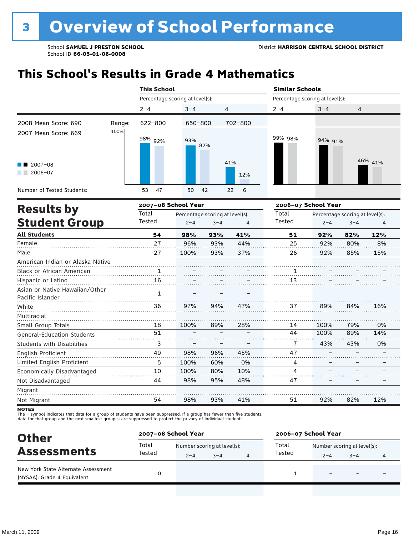# **This School's Results in Grade 4 Mathematics**

|                                   |        | <b>This School</b> |                                 |                                 |                | <b>Similar Schools</b>          |                          |                                 |         |  |  |
|-----------------------------------|--------|--------------------|---------------------------------|---------------------------------|----------------|---------------------------------|--------------------------|---------------------------------|---------|--|--|
|                                   |        |                    | Percentage scoring at level(s): |                                 |                | Percentage scoring at level(s): |                          |                                 |         |  |  |
|                                   |        | $2 - 4$            | $3 - 4$                         |                                 | $\overline{4}$ | $2 - 4$                         | $3 - 4$                  | 4                               |         |  |  |
| 2008 Mean Score: 690              | Range: | 622-800            | 650-800                         |                                 | 702-800        |                                 |                          |                                 |         |  |  |
| 2007 Mean Score: 669              | 100%   | 98% 92%            | 93%                             | 82%                             |                | 99% 98%                         | 94% 91%                  |                                 |         |  |  |
| $2007 - 08$<br>$2006 - 07$        |        |                    |                                 |                                 | 41%<br>12%     |                                 |                          |                                 | 46% 41% |  |  |
| Number of Tested Students:        |        | 53<br>47           | 50                              | 42                              | 6<br>22        |                                 |                          |                                 |         |  |  |
|                                   |        |                    | 2007-08 School Year             |                                 |                | 2006-07 School Year             |                          |                                 |         |  |  |
| <b>Results by</b>                 |        | Total              |                                 | Percentage scoring at level(s): |                | Total                           |                          | Percentage scoring at level(s): |         |  |  |
| <b>Student Group</b>              |        | Tested             | $2 - 4$                         | $3 - 4$                         | 4              | Tested                          | $2 - 4$                  | $3 - 4$                         | 4       |  |  |
| <b>All Students</b>               |        | 54                 | 98%                             | 93%                             | 41%            | 51                              | 92%                      | 82%                             | 12%     |  |  |
| Female                            |        | 27                 | 96%                             | 93%                             | 44%            | 25                              | 92%                      | 80%                             | 8%      |  |  |
| Male                              |        | 27                 | 100%                            | 93%                             | 37%            | 26                              | 92%                      | 85%                             | 15%     |  |  |
| American Indian or Alaska Native  |        |                    |                                 |                                 |                |                                 |                          |                                 |         |  |  |
| <b>Black or African American</b>  |        |                    |                                 |                                 |                | 1                               |                          |                                 |         |  |  |
| Hispanic or Latino                |        | 16                 |                                 |                                 |                | 13                              |                          |                                 |         |  |  |
| Asian or Native Hawaiian/Other    |        | $\mathbf{1}$       |                                 |                                 |                |                                 |                          |                                 |         |  |  |
| Pacific Islander                  |        |                    |                                 |                                 |                | .                               |                          |                                 |         |  |  |
| White                             |        | 36                 | 97%                             | 94%                             | 47%            | 37                              | 89%                      | 84%                             | 16%     |  |  |
| Multiracial                       |        |                    |                                 |                                 |                |                                 |                          |                                 |         |  |  |
| Small Group Totals                |        | 18                 | 100%                            | 89%                             | 28%            | 14                              | 100%                     | 79%                             | 0%      |  |  |
| <b>General-Education Students</b> |        | 51                 |                                 |                                 |                | 44                              | 100%                     | 89%                             | 14%     |  |  |
| <b>Students with Disabilities</b> |        | 3                  |                                 |                                 |                | 7                               | 43%                      | 43%                             | 0%      |  |  |
| English Proficient                |        | 49                 | 98%                             | 96%                             | 45%            | 47                              |                          |                                 |         |  |  |
| Limited English Proficient        |        | 5                  | 100%                            | 60%                             | 0%             | 4                               |                          |                                 |         |  |  |
| Economically Disadvantaged        |        | 10                 | 100%                            | 80%                             | 10%            | 4                               | $\overline{\phantom{0}}$ |                                 |         |  |  |

Not Disadvantaged Migrant<br>
<u>Migrant</u> . . . . . . . . . . . . . . . . . . Not Migrant 54 98% 93% 41% 51 92% 82% 12%

95%

48%

47

–

–

–

98%

The – symbol indicates that data for a group of students have been suppressed. If a group has fewer than five students,<br>data for that group and the next smallest group(s) are suppressed to protect the privacy of individual

44

| <b>Other</b>                                                       | 2007-08 School Year |                             |         |  | 2006-07 School Year |                             |                          |   |  |
|--------------------------------------------------------------------|---------------------|-----------------------------|---------|--|---------------------|-----------------------------|--------------------------|---|--|
| <b>Assessments</b>                                                 | Total<br>Tested     | Number scoring at level(s): |         |  | Total               | Number scoring at level(s): |                          |   |  |
|                                                                    |                     | $2 - 4$                     | $3 - 4$ |  | Tested              | $2 - 4$                     | $3 - 4$                  | 4 |  |
| New York State Alternate Assessment<br>(NYSAA): Grade 4 Equivalent |                     |                             |         |  |                     |                             | $\overline{\phantom{0}}$ |   |  |

**NOTES**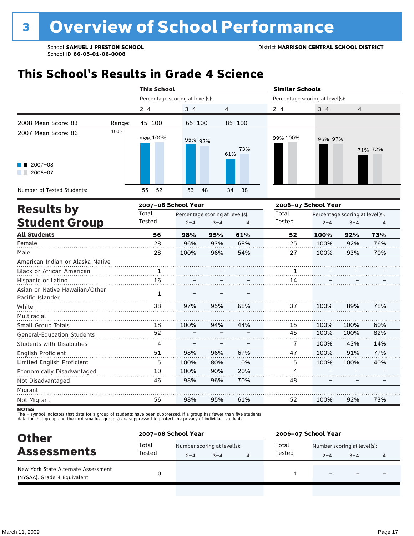# **This School's Results in Grade 4 Science**

|                                                    |        |                 |                                                                                                                                                                                                                                                                                                                                                    |     |       | <b>Similar Schools</b> |                                 |                |         |  |  |
|----------------------------------------------------|--------|-----------------|----------------------------------------------------------------------------------------------------------------------------------------------------------------------------------------------------------------------------------------------------------------------------------------------------------------------------------------------------|-----|-------|------------------------|---------------------------------|----------------|---------|--|--|
|                                                    |        |                 | <b>This School</b><br>Percentage scoring at level(s):<br>$3 - 4$<br>4<br>$65 - 100$<br>$85 - 100$<br>95% 92%<br>73%<br>61%<br>55<br>52<br>53<br>48<br>38<br>34<br>2007-08 School Year<br>Percentage scoring at level(s):<br>$2 - 4$<br>$3 - 4$<br>$\overline{4}$<br>56<br>61%<br>98%<br>95%<br>28<br>96%<br>93%<br>68%<br>96%<br>54%<br>28<br>100% |     |       |                        | Percentage scoring at level(s): |                |         |  |  |
|                                                    |        | $2 - 4$         |                                                                                                                                                                                                                                                                                                                                                    |     |       | $2 - 4$                | $3 - 4$                         | $\overline{4}$ |         |  |  |
| 2008 Mean Score: 83                                | Range: | $45 - 100$      |                                                                                                                                                                                                                                                                                                                                                    |     |       |                        |                                 |                |         |  |  |
| 2007 Mean Score: 86                                | 100%   | 98% 100%        |                                                                                                                                                                                                                                                                                                                                                    |     |       | 99% 100%               | 96% 97%                         |                | 71% 72% |  |  |
| $2007 - 08$<br>$2006 - 07$                         |        |                 |                                                                                                                                                                                                                                                                                                                                                    |     |       |                        |                                 |                |         |  |  |
| Number of Tested Students:                         |        |                 |                                                                                                                                                                                                                                                                                                                                                    |     |       |                        |                                 |                |         |  |  |
| <b>Results by</b>                                  |        |                 |                                                                                                                                                                                                                                                                                                                                                    |     |       | 2006-07 School Year    |                                 |                |         |  |  |
|                                                    | Total  |                 |                                                                                                                                                                                                                                                                                                                                                    |     | Total |                        | Percentage scoring at level(s): |                |         |  |  |
| <b>Student Group</b>                               |        | Tested          |                                                                                                                                                                                                                                                                                                                                                    |     |       | Tested                 | $2 - 4$                         | $3 - 4$        | 4       |  |  |
| <b>All Students</b>                                |        |                 |                                                                                                                                                                                                                                                                                                                                                    |     |       | 52                     | 100%                            | 92%            | 73%     |  |  |
| Female                                             |        |                 |                                                                                                                                                                                                                                                                                                                                                    |     |       | 25                     | 100%                            | 92%            | 76%     |  |  |
| Male                                               |        |                 |                                                                                                                                                                                                                                                                                                                                                    |     |       | 27                     | 100%                            | 93%            | 70%     |  |  |
| American Indian or Alaska Native                   |        |                 |                                                                                                                                                                                                                                                                                                                                                    |     |       |                        |                                 |                |         |  |  |
| <b>Black or African American</b>                   |        | $\mathbf{1}$    |                                                                                                                                                                                                                                                                                                                                                    |     |       | 1                      |                                 |                |         |  |  |
| Hispanic or Latino                                 |        | 16              |                                                                                                                                                                                                                                                                                                                                                    |     |       | 14                     |                                 |                |         |  |  |
| Asian or Native Hawaiian/Other<br>Pacific Islander |        | $\mathbf{1}$    |                                                                                                                                                                                                                                                                                                                                                    |     |       |                        |                                 |                |         |  |  |
| White                                              |        | 38              | 97%                                                                                                                                                                                                                                                                                                                                                | 95% | 68%   | 37                     | 100%                            | 89%            | 78%     |  |  |
| Multiracial                                        |        |                 |                                                                                                                                                                                                                                                                                                                                                    |     |       |                        |                                 |                |         |  |  |
| Small Group Totals                                 |        | 18              | 100%                                                                                                                                                                                                                                                                                                                                               | 94% | 44%   | 15                     | 100%                            | 100%           | 60%     |  |  |
| <b>General-Education Students</b>                  |        | $\overline{52}$ |                                                                                                                                                                                                                                                                                                                                                    |     |       | 45                     | 100%                            | 100%           | 82%     |  |  |
| Students with Disabilities                         |        | 4               |                                                                                                                                                                                                                                                                                                                                                    |     |       | 7                      | 100%                            | 43%            | 14%     |  |  |
| English Proficient                                 |        | 51              | 98%                                                                                                                                                                                                                                                                                                                                                | 96% | 67%   | 47                     | 100%                            | 91%            | 77%     |  |  |
| Limited English Proficient                         |        | 5               | 100%                                                                                                                                                                                                                                                                                                                                               | 80% | 0%    | 5                      | 100%                            | 100%           | 40%     |  |  |
| Economically Disadvantaged                         |        | 10              | 100%                                                                                                                                                                                                                                                                                                                                               | 90% | 20%   | 4                      |                                 |                |         |  |  |
| Not Disadvantaged                                  |        | 46              | 98%                                                                                                                                                                                                                                                                                                                                                | 96% | 70%   | 48                     |                                 |                |         |  |  |
| Migrant                                            |        |                 |                                                                                                                                                                                                                                                                                                                                                    |     |       |                        |                                 |                |         |  |  |
| Not Migrant                                        |        | 56              | 98%                                                                                                                                                                                                                                                                                                                                                | 95% | 61%   | 52                     | 100%                            | 92%            | 73%     |  |  |

**NOTES** 

The – symbol indicates that data for a group of students have been suppressed. If a group has fewer than five students,<br>data for that group and the next smallest group(s) are suppressed to protect the privacy of individual

| <b>Other</b>                                                       | 2007-08 School Year |                             |         |  | 2006-07 School Year |                             |                          |   |  |
|--------------------------------------------------------------------|---------------------|-----------------------------|---------|--|---------------------|-----------------------------|--------------------------|---|--|
| <b>Assessments</b>                                                 | Total<br>Tested     | Number scoring at level(s): |         |  | Total<br>Tested     | Number scoring at level(s): |                          |   |  |
|                                                                    |                     | $2 - 4$                     | $3 - 4$ |  |                     | $2 - 4$                     | $3 - 4$                  | 4 |  |
| New York State Alternate Assessment<br>(NYSAA): Grade 4 Equivalent |                     |                             |         |  |                     |                             | $\overline{\phantom{0}}$ |   |  |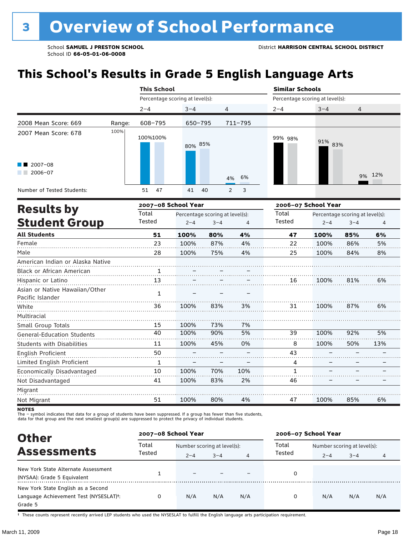# **This School's Results in Grade 5 English Language Arts**

|                                                    |        | <b>This School</b>  |                                 |                                 |                     | <b>Similar Schools</b>          |                     |                                 |     |  |
|----------------------------------------------------|--------|---------------------|---------------------------------|---------------------------------|---------------------|---------------------------------|---------------------|---------------------------------|-----|--|
|                                                    |        |                     | Percentage scoring at level(s): |                                 |                     | Percentage scoring at level(s): |                     |                                 |     |  |
|                                                    |        | $2 - 4$             | $3 - 4$                         | 4                               |                     | $2 - 4$                         | $3 - 4$             | 4                               |     |  |
| 2008 Mean Score: 669                               | Range: | 608-795             | 650-795                         |                                 | 711-795             |                                 |                     |                                 |     |  |
| 2007 Mean Score: 678                               | 100%   | 100%100%            | 80% 85%                         |                                 |                     | 99% 98%                         | 91% 83%             |                                 |     |  |
| 2007-08<br>$2006 - 07$                             |        |                     |                                 |                                 | 6%<br>4%            |                                 |                     | 9%                              | 12% |  |
| Number of Tested Students:                         |        | 47<br>51            | 41                              | 40                              | 3<br>$\overline{2}$ |                                 |                     |                                 |     |  |
| <b>Results by</b>                                  |        | 2007-08 School Year |                                 |                                 |                     |                                 | 2006-07 School Year |                                 |     |  |
|                                                    |        | Total               |                                 | Percentage scoring at level(s): |                     | Total                           |                     | Percentage scoring at level(s): |     |  |
| <b>Student Group</b>                               |        | Tested              | $2 - 4$                         | $3 - 4$                         | 4                   | Tested                          | $2 - 4$             | $3 - 4$                         | 4   |  |
| <b>All Students</b>                                |        | 51                  | 100%                            | 80%                             | 4%                  | 47                              | 100%                | 85%                             | 6%  |  |
| Female                                             |        | 23                  | 100%                            | 87%                             | 4%                  | 22                              | 100%                | 86%                             | 5%  |  |
| Male                                               |        | 28                  | 100%                            | 75%                             | 4%                  | 25                              | 100%                | 84%                             | 8%  |  |
| American Indian or Alaska Native                   |        |                     |                                 |                                 |                     |                                 |                     |                                 |     |  |
| Black or African American                          |        | 1                   |                                 |                                 |                     |                                 |                     |                                 |     |  |
| Hispanic or Latino                                 |        | 13                  |                                 |                                 |                     | 16                              | 100%                | 81%                             | 6%  |  |
| Asian or Native Hawaiian/Other<br>Pacific Islander |        | $\mathbf{1}$        |                                 |                                 |                     |                                 |                     |                                 |     |  |
| White                                              |        | 36                  | 100%                            | 83%                             | 3%                  | 31                              | 100%                | 87%                             | 6%  |  |
| Multiracial                                        |        |                     |                                 |                                 |                     |                                 |                     |                                 |     |  |
| Small Group Totals                                 |        | 15                  | 100%                            | 73%                             | 7%                  |                                 |                     |                                 |     |  |
| General-Education Students                         |        | 40                  | 100%                            | 90%                             | 5%                  | 39                              | 100%                | 92%                             | 5%  |  |
| <b>Students with Disabilities</b>                  |        | 11                  | 100%                            | 45%                             | 0%                  | 8                               | 100%                | 50%                             | 13% |  |
| English Proficient                                 |        | 50                  |                                 |                                 |                     | 43                              |                     |                                 |     |  |
| Limited English Proficient                         |        | $\mathbf{1}$        |                                 |                                 |                     | 4                               |                     |                                 |     |  |
| Economically Disadvantaged                         |        | 10                  | 100%                            | 70%                             | 10%                 | $\mathbf{1}$                    |                     |                                 |     |  |
| Not Disadvantaged                                  |        | 41                  | 100%                            | 83%                             | 2%                  | 46                              |                     |                                 |     |  |
| Migrant                                            |        |                     |                                 |                                 |                     |                                 |                     |                                 |     |  |
| Not Migrant                                        |        | 51                  | 100%                            | 80%                             | 4%                  | 47                              | 100%                | 85%                             | 6%  |  |

**NOTES** 

The – symbol indicates that data for a group of students have been suppressed. If a group has fewer than five students,<br>data for that group and the next smallest group(s) are suppressed to protect the privacy of individual

| <b>Other</b>                                                                                         |                 | 2007-08 School Year                    |         |     | 2006-07 School Year |                                                   |     |     |  |
|------------------------------------------------------------------------------------------------------|-----------------|----------------------------------------|---------|-----|---------------------|---------------------------------------------------|-----|-----|--|
| <b>Assessments</b>                                                                                   | Total<br>Tested | Number scoring at level(s):<br>$2 - 4$ | $3 - 4$ | 4   | Total<br>Tested     | Number scoring at level(s):<br>$3 - 4$<br>$2 - 4$ |     |     |  |
| New York State Alternate Assessment<br>(NYSAA): Grade 5 Equivalent                                   |                 |                                        |         |     |                     |                                                   |     |     |  |
| New York State English as a Second<br>Language Achievement Test (NYSESLAT) <sup>+</sup> :<br>Grade 5 |                 | N/A                                    | N/A     | N/A | 0                   | N/A                                               | N/A | N/A |  |

† These counts represent recently arrived LEP students who used the NYSESLAT to fulfill the English language arts participation requirement.